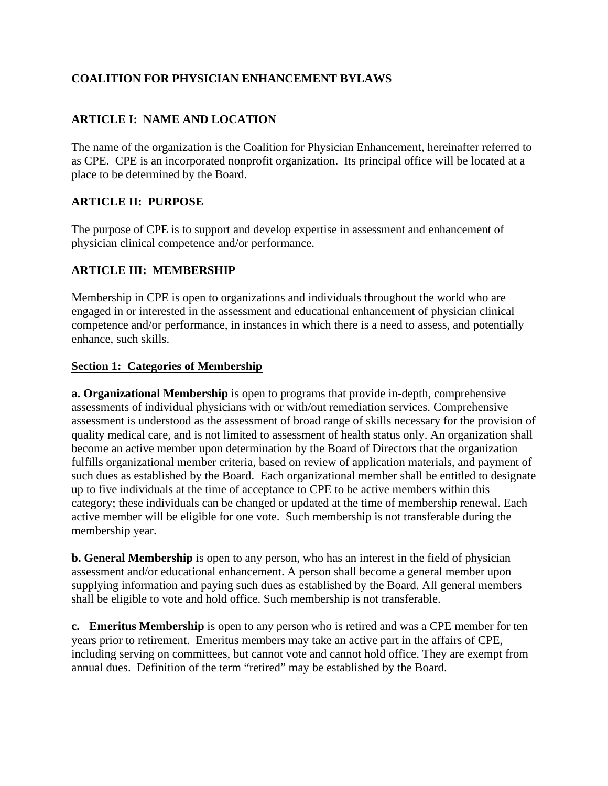# **COALITION FOR PHYSICIAN ENHANCEMENT BYLAWS**

# **ARTICLE I: NAME AND LOCATION**

The name of the organization is the Coalition for Physician Enhancement, hereinafter referred to as CPE. CPE is an incorporated nonprofit organization. Its principal office will be located at a place to be determined by the Board.

## **ARTICLE II: PURPOSE**

The purpose of CPE is to support and develop expertise in assessment and enhancement of physician clinical competence and/or performance.

# **ARTICLE III: MEMBERSHIP**

Membership in CPE is open to organizations and individuals throughout the world who are engaged in or interested in the assessment and educational enhancement of physician clinical competence and/or performance, in instances in which there is a need to assess, and potentially enhance, such skills.

### **Section 1: Categories of Membership**

**a. Organizational Membership** is open to programs that provide in-depth, comprehensive assessments of individual physicians with or with/out remediation services. Comprehensive assessment is understood as the assessment of broad range of skills necessary for the provision of quality medical care, and is not limited to assessment of health status only. An organization shall become an active member upon determination by the Board of Directors that the organization fulfills organizational member criteria, based on review of application materials, and payment of such dues as established by the Board. Each organizational member shall be entitled to designate up to five individuals at the time of acceptance to CPE to be active members within this category; these individuals can be changed or updated at the time of membership renewal. Each active member will be eligible for one vote. Such membership is not transferable during the membership year.

**b. General Membership** is open to any person, who has an interest in the field of physician assessment and/or educational enhancement. A person shall become a general member upon supplying information and paying such dues as established by the Board. All general members shall be eligible to vote and hold office. Such membership is not transferable.

**c. Emeritus Membership** is open to any person who is retired and was a CPE member for ten years prior to retirement. Emeritus members may take an active part in the affairs of CPE, including serving on committees, but cannot vote and cannot hold office. They are exempt from annual dues. Definition of the term "retired" may be established by the Board.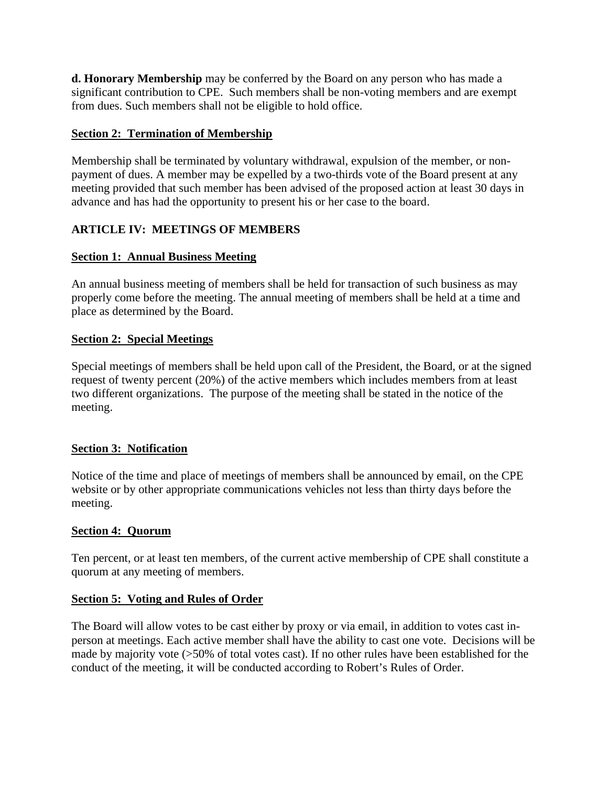**d. Honorary Membership** may be conferred by the Board on any person who has made a significant contribution to CPE. Such members shall be non-voting members and are exempt from dues. Such members shall not be eligible to hold office.

### **Section 2: Termination of Membership**

Membership shall be terminated by voluntary withdrawal, expulsion of the member, or nonpayment of dues. A member may be expelled by a two-thirds vote of the Board present at any meeting provided that such member has been advised of the proposed action at least 30 days in advance and has had the opportunity to present his or her case to the board.

# **ARTICLE IV: MEETINGS OF MEMBERS**

## **Section 1: Annual Business Meeting**

An annual business meeting of members shall be held for transaction of such business as may properly come before the meeting. The annual meeting of members shall be held at a time and place as determined by the Board.

## **Section 2: Special Meetings**

Special meetings of members shall be held upon call of the President, the Board, or at the signed request of twenty percent (20%) of the active members which includes members from at least two different organizations. The purpose of the meeting shall be stated in the notice of the meeting.

## **Section 3: Notification**

Notice of the time and place of meetings of members shall be announced by email, on the CPE website or by other appropriate communications vehicles not less than thirty days before the meeting.

#### **Section 4: Quorum**

Ten percent, or at least ten members, of the current active membership of CPE shall constitute a quorum at any meeting of members.

#### **Section 5: Voting and Rules of Order**

The Board will allow votes to be cast either by proxy or via email, in addition to votes cast inperson at meetings. Each active member shall have the ability to cast one vote. Decisions will be made by majority vote (>50% of total votes cast). If no other rules have been established for the conduct of the meeting, it will be conducted according to Robert's Rules of Order.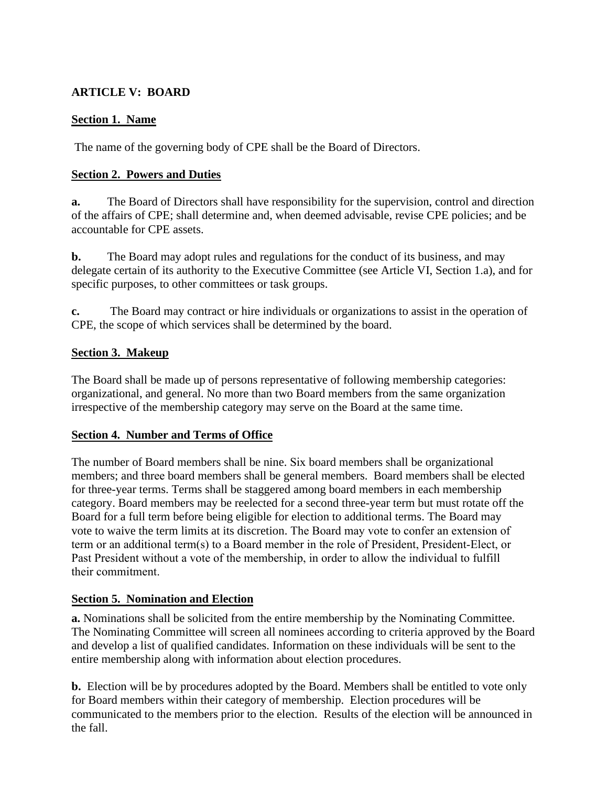# **ARTICLE V: BOARD**

### **Section 1. Name**

The name of the governing body of CPE shall be the Board of Directors.

### **Section 2. Powers and Duties**

**a.** The Board of Directors shall have responsibility for the supervision, control and direction of the affairs of CPE; shall determine and, when deemed advisable, revise CPE policies; and be accountable for CPE assets.

**b.** The Board may adopt rules and regulations for the conduct of its business, and may delegate certain of its authority to the Executive Committee (see Article VI, Section 1.a), and for specific purposes, to other committees or task groups.

**c.** The Board may contract or hire individuals or organizations to assist in the operation of CPE, the scope of which services shall be determined by the board.

### **Section 3. Makeup**

The Board shall be made up of persons representative of following membership categories: organizational, and general. No more than two Board members from the same organization irrespective of the membership category may serve on the Board at the same time.

#### **Section 4. Number and Terms of Office**

The number of Board members shall be nine. Six board members shall be organizational members; and three board members shall be general members. Board members shall be elected for three-year terms. Terms shall be staggered among board members in each membership category. Board members may be reelected for a second three-year term but must rotate off the Board for a full term before being eligible for election to additional terms. The Board may vote to waive the term limits at its discretion. The Board may vote to confer an extension of term or an additional term(s) to a Board member in the role of President, President-Elect, or Past President without a vote of the membership, in order to allow the individual to fulfill their commitment.

## **Section 5. Nomination and Election**

**a.** Nominations shall be solicited from the entire membership by the Nominating Committee. The Nominating Committee will screen all nominees according to criteria approved by the Board and develop a list of qualified candidates. Information on these individuals will be sent to the entire membership along with information about election procedures.

**b.** Election will be by procedures adopted by the Board. Members shall be entitled to vote only for Board members within their category of membership. Election procedures will be communicated to the members prior to the election. Results of the election will be announced in the fall.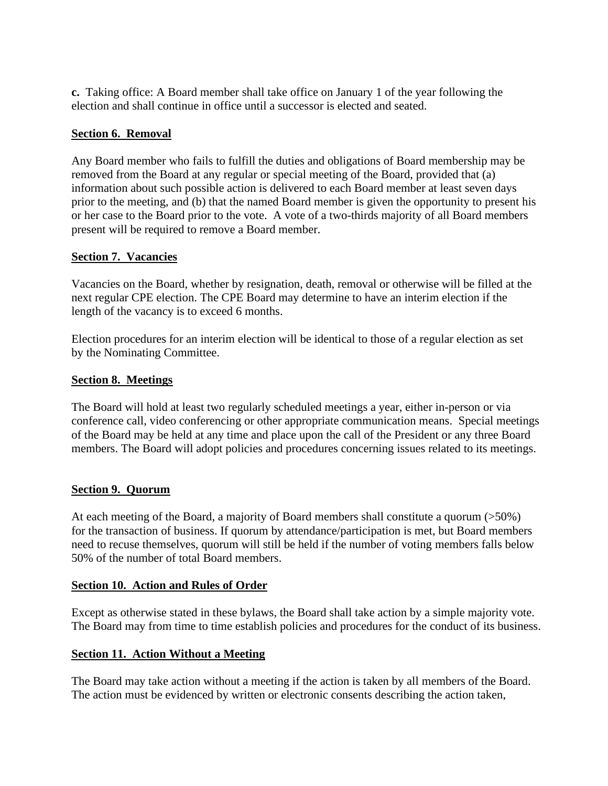**c.** Taking office: A Board member shall take office on January 1 of the year following the election and shall continue in office until a successor is elected and seated.

### **Section 6. Removal**

Any Board member who fails to fulfill the duties and obligations of Board membership may be removed from the Board at any regular or special meeting of the Board, provided that (a) information about such possible action is delivered to each Board member at least seven days prior to the meeting, and (b) that the named Board member is given the opportunity to present his or her case to the Board prior to the vote. A vote of a two-thirds majority of all Board members present will be required to remove a Board member.

### **Section 7. Vacancies**

Vacancies on the Board, whether by resignation, death, removal or otherwise will be filled at the next regular CPE election. The CPE Board may determine to have an interim election if the length of the vacancy is to exceed 6 months.

Election procedures for an interim election will be identical to those of a regular election as set by the Nominating Committee.

### **Section 8. Meetings**

The Board will hold at least two regularly scheduled meetings a year, either in-person or via conference call, video conferencing or other appropriate communication means. Special meetings of the Board may be held at any time and place upon the call of the President or any three Board members. The Board will adopt policies and procedures concerning issues related to its meetings.

#### **Section 9. Quorum**

At each meeting of the Board, a majority of Board members shall constitute a quorum (>50%) for the transaction of business. If quorum by attendance/participation is met, but Board members need to recuse themselves, quorum will still be held if the number of voting members falls below 50% of the number of total Board members.

#### **Section 10. Action and Rules of Order**

Except as otherwise stated in these bylaws, the Board shall take action by a simple majority vote. The Board may from time to time establish policies and procedures for the conduct of its business.

## **Section 11. Action Without a Meeting**

The Board may take action without a meeting if the action is taken by all members of the Board. The action must be evidenced by written or electronic consents describing the action taken,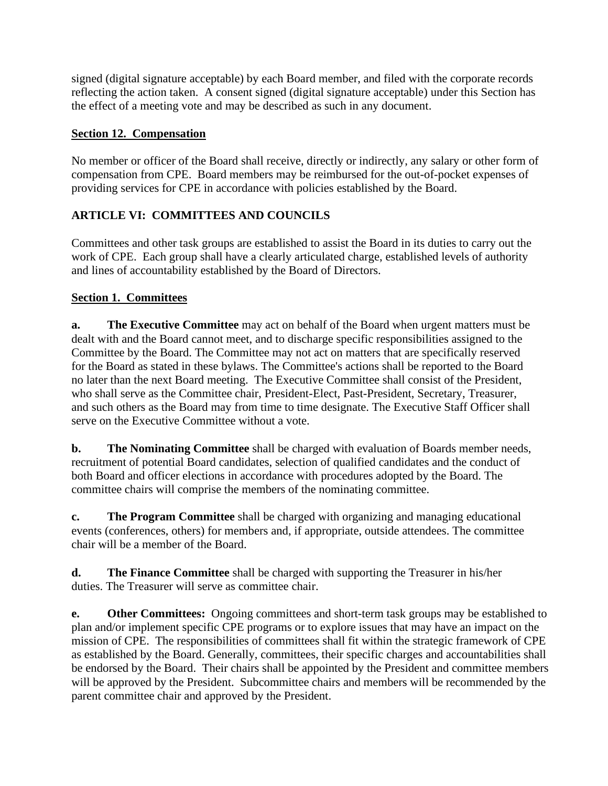signed (digital signature acceptable) by each Board member, and filed with the corporate records reflecting the action taken. A consent signed (digital signature acceptable) under this Section has the effect of a meeting vote and may be described as such in any document.

# **Section 12. Compensation**

No member or officer of the Board shall receive, directly or indirectly, any salary or other form of compensation from CPE. Board members may be reimbursed for the out-of-pocket expenses of providing services for CPE in accordance with policies established by the Board.

# **ARTICLE VI: COMMITTEES AND COUNCILS**

Committees and other task groups are established to assist the Board in its duties to carry out the work of CPE. Each group shall have a clearly articulated charge, established levels of authority and lines of accountability established by the Board of Directors.

# **Section 1. Committees**

**a. The Executive Committee** may act on behalf of the Board when urgent matters must be dealt with and the Board cannot meet, and to discharge specific responsibilities assigned to the Committee by the Board. The Committee may not act on matters that are specifically reserved for the Board as stated in these bylaws. The Committee's actions shall be reported to the Board no later than the next Board meeting. The Executive Committee shall consist of the President, who shall serve as the Committee chair, President-Elect, Past-President, Secretary, Treasurer, and such others as the Board may from time to time designate. The Executive Staff Officer shall serve on the Executive Committee without a vote.

**b. The Nominating Committee** shall be charged with evaluation of Boards member needs, recruitment of potential Board candidates, selection of qualified candidates and the conduct of both Board and officer elections in accordance with procedures adopted by the Board. The committee chairs will comprise the members of the nominating committee.

**c. The Program Committee** shall be charged with organizing and managing educational events (conferences, others) for members and, if appropriate, outside attendees. The committee chair will be a member of the Board.

**d. The Finance Committee** shall be charged with supporting the Treasurer in his/her duties. The Treasurer will serve as committee chair.

**e.** Other Committees: Ongoing committees and short-term task groups may be established to plan and/or implement specific CPE programs or to explore issues that may have an impact on the mission of CPE. The responsibilities of committees shall fit within the strategic framework of CPE as established by the Board. Generally, committees, their specific charges and accountabilities shall be endorsed by the Board. Their chairs shall be appointed by the President and committee members will be approved by the President. Subcommittee chairs and members will be recommended by the parent committee chair and approved by the President.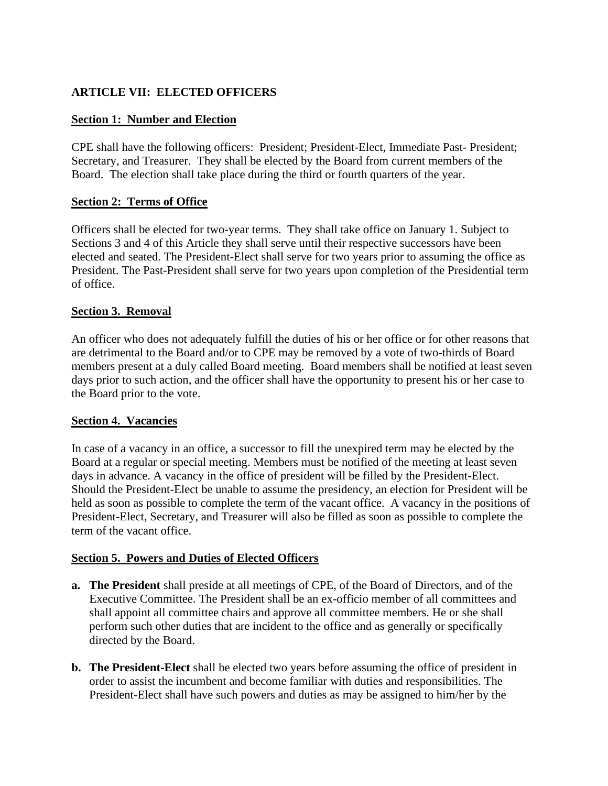# **ARTICLE VII: ELECTED OFFICERS**

### **Section 1: Number and Election**

CPE shall have the following officers: President; President-Elect, Immediate Past- President; Secretary, and Treasurer. They shall be elected by the Board from current members of the Board. The election shall take place during the third or fourth quarters of the year.

### **Section 2: Terms of Office**

Officers shall be elected for two-year terms. They shall take office on January 1. Subject to Sections 3 and 4 of this Article they shall serve until their respective successors have been elected and seated. The President-Elect shall serve for two years prior to assuming the office as President. The Past-President shall serve for two years upon completion of the Presidential term of office.

### **Section 3. Removal**

An officer who does not adequately fulfill the duties of his or her office or for other reasons that are detrimental to the Board and/or to CPE may be removed by a vote of two-thirds of Board members present at a duly called Board meeting. Board members shall be notified at least seven days prior to such action, and the officer shall have the opportunity to present his or her case to the Board prior to the vote.

#### **Section 4. Vacancies**

In case of a vacancy in an office, a successor to fill the unexpired term may be elected by the Board at a regular or special meeting. Members must be notified of the meeting at least seven days in advance. A vacancy in the office of president will be filled by the President-Elect. Should the President-Elect be unable to assume the presidency, an election for President will be held as soon as possible to complete the term of the vacant office. A vacancy in the positions of President-Elect, Secretary, and Treasurer will also be filled as soon as possible to complete the term of the vacant office.

#### **Section 5. Powers and Duties of Elected Officers**

- **a. The President** shall preside at all meetings of CPE, of the Board of Directors, and of the Executive Committee. The President shall be an ex-officio member of all committees and shall appoint all committee chairs and approve all committee members. He or she shall perform such other duties that are incident to the office and as generally or specifically directed by the Board.
- **b. The President-Elect** shall be elected two years before assuming the office of president in order to assist the incumbent and become familiar with duties and responsibilities. The President-Elect shall have such powers and duties as may be assigned to him/her by the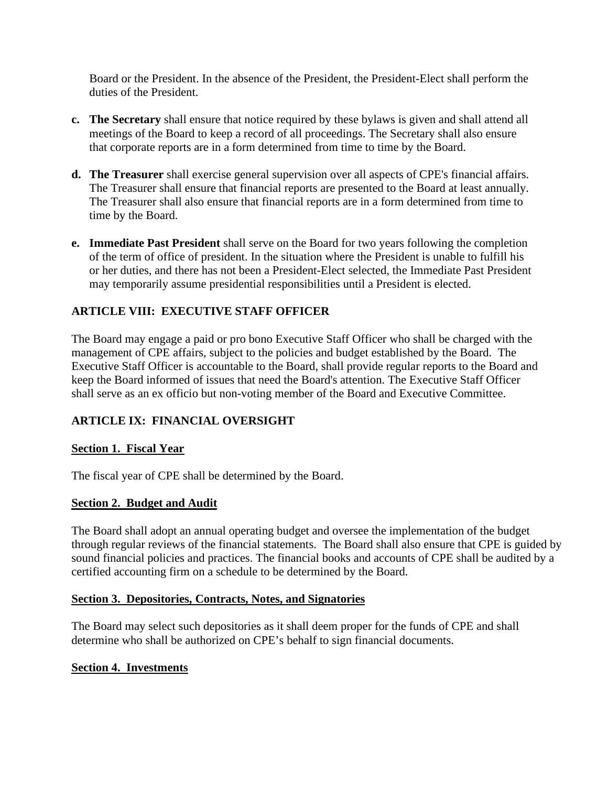Board or the President. In the absence of the President, the President-Elect shall perform the duties of the President.

- **c. The Secretary** shall ensure that notice required by these bylaws is given and shall attend all meetings of the Board to keep a record of all proceedings. The Secretary shall also ensure that corporate reports are in a form determined from time to time by the Board.
- **d. The Treasurer** shall exercise general supervision over all aspects of CPE's financial affairs. The Treasurer shall ensure that financial reports are presented to the Board at least annually. The Treasurer shall also ensure that financial reports are in a form determined from time to time by the Board.
- **e. Immediate Past President** shall serve on the Board for two years following the completion of the term of office of president. In the situation where the President is unable to fulfill his or her duties, and there has not been a President-Elect selected, the Immediate Past President may temporarily assume presidential responsibilities until a President is elected.

# **ARTICLE VIII: EXECUTIVE STAFF OFFICER**

The Board may engage a paid or pro bono Executive Staff Officer who shall be charged with the management of CPE affairs, subject to the policies and budget established by the Board. The Executive Staff Officer is accountable to the Board, shall provide regular reports to the Board and keep the Board informed of issues that need the Board's attention. The Executive Staff Officer shall serve as an ex officio but non-voting member of the Board and Executive Committee.

# **ARTICLE IX: FINANCIAL OVERSIGHT**

## **Section 1. Fiscal Year**

The fiscal year of CPE shall be determined by the Board.

## **Section 2. Budget and Audit**

The Board shall adopt an annual operating budget and oversee the implementation of the budget through regular reviews of the financial statements. The Board shall also ensure that CPE is guided by sound financial policies and practices. The financial books and accounts of CPE shall be audited by a certified accounting firm on a schedule to be determined by the Board.

## **Section 3. Depositories, Contracts, Notes, and Signatories**

The Board may select such depositories as it shall deem proper for the funds of CPE and shall determine who shall be authorized on CPE's behalf to sign financial documents.

## **Section 4. Investments**